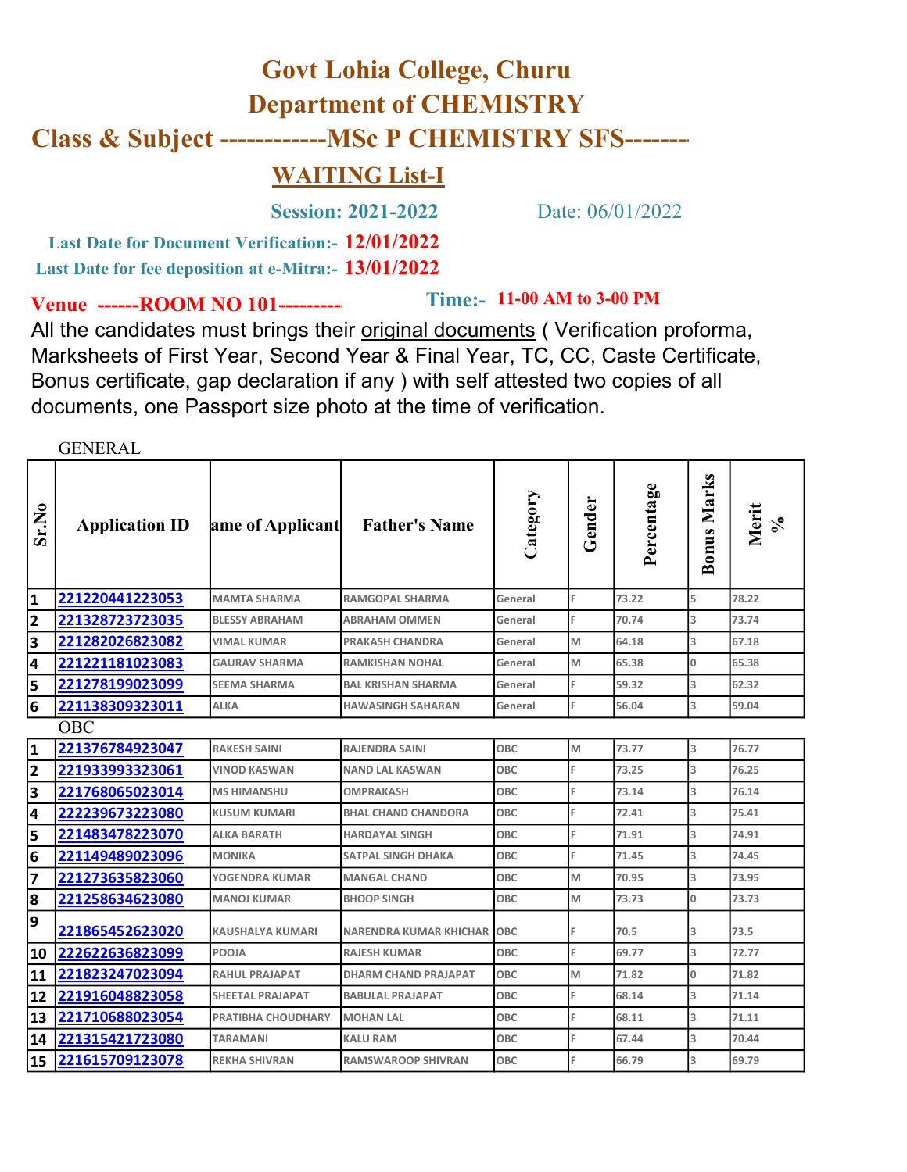## Last Date for Document Verification: - 12/01/2022 Govt Lohia College, Churu Department of CHEMISTRY Class & Subject ------------MSc P CHEMISTRY SFS-------- WAITING List-I Session: 2021-2022 Date: 06/01/2022

Last Date for fee deposition at e-Mitra:- 13/01/2022

Venue ------ROOM NO 101----------

Time:- 11-00 AM to 3-00 PM

All the candidates must brings their original documents ( Verification proforma, Marksheets of First Year, Second Year & Final Year, TC, CC, Caste Certificate, Bonus certificate, gap declaration if any ) with self attested two copies of all documents, one Passport size photo at the time of verification.

GENERAL

| Sr.No                   | <b>Application ID</b> | ame of Applicant          | <b>Father's Name</b>        | Category | Gender         | Percentage | <b>Bonus Marks</b> | Merit<br>$\frac{6}{3}$ |
|-------------------------|-----------------------|---------------------------|-----------------------------|----------|----------------|------------|--------------------|------------------------|
|                         | 221220441223053       | <b>MAMTA SHARMA</b>       | <b>RAMGOPAL SHARMA</b>      | General  | $\blacksquare$ | 73.22      | 5                  | 78.22                  |
| 2                       | 221328723723035       | <b>BLESSY ABRAHAM</b>     | <b>ABRAHAM OMMEN</b>        | General  |                | 70.74      | 3                  | 73.74                  |
| 3                       | 221282026823082       | VIMAL KUMAR               | <b>PRAKASH CHANDRA</b>      | General  | M              | 64.18      | 3                  | 67.18                  |
| 4                       | 221221181023083       | <b>GAURAV SHARMA</b>      | RAMKISHAN NOHAL             | General  | M              | 65.38      | $\overline{0}$     | 65.38                  |
| 5                       | 221278199023099       | <b>SEEMA SHARMA</b>       | <b>BAL KRISHAN SHARMA</b>   | General  | IF.            | 59.32      | l3                 | 62.32                  |
| 6                       | 221138309323011       | <b>ALKA</b>               | <b>HAWASINGH SAHARAN</b>    | General  |                | 56.04      | 3                  | 59.04                  |
|                         | <b>OBC</b>            |                           |                             |          |                |            |                    |                        |
|                         | 221376784923047       | <b>RAKESH SAINI</b>       | <b>RAJENDRA SAINI</b>       | OBC      | M              | 73.77      | 3                  | 76.77                  |
| 2                       | 221933993323061       | <b>VINOD KASWAN</b>       | <b>NAND LAL KASWAN</b>      | OBC      |                | 73.25      | 3                  | 76.25                  |
| 3                       | 221768065023014       | <b>MS HIMANSHU</b>        | <b>OMPRAKASH</b>            | OBC      |                | 73.14      | l3                 | 76.14                  |
| 4                       | 222239673223080       | <b>KUSUM KUMARI</b>       | <b>BHAL CHAND CHANDORA</b>  | OBC      |                | 72.41      | l3                 | 75.41                  |
| 5                       | 221483478223070       | <b>ALKA BARATH</b>        | <b>HARDAYAL SINGH</b>       | OBC      |                | 71.91      | 3                  | 74.91                  |
| 6                       | 221149489023096       | <b>MONIKA</b>             | <b>SATPAL SINGH DHAKA</b>   | OBC      |                | 71.45      | 3                  | 74.45                  |
| $\overline{\mathbf{z}}$ | 221273635823060       | YOGENDRA KUMAR            | <b>MANGAL CHAND</b>         | OBC      | M              | 70.95      | 3                  | 73.95                  |
| 8                       | 221258634623080       | <b>MANOJ KUMAR</b>        | <b>BHOOP SINGH</b>          | OBC      | M              | 73.73      | 0                  | 73.73                  |
| 9                       | 221865452623020       | <b>KAUSHALYA KUMARI</b>   | NARENDRA KUMAR KHICHAR OBC  |          |                | 70.5       | 3                  | 73.5                   |
| 10                      | 222622636823099       | POOJA                     | <b>RAJESH KUMAR</b>         | OBC      |                | 69.77      | 3                  | 72.77                  |
| 11                      | 221823247023094       | <b>RAHUL PRAJAPAT</b>     | <b>DHARM CHAND PRAJAPAT</b> | OBC      | M              | 71.82      | $\overline{0}$     | 71.82                  |
| 12                      | 221916048823058       | <b>SHEETAL PRAJAPAT</b>   | <b>BABULAL PRAJAPAT</b>     | OBC      |                | 68.14      | 3                  | 71.14                  |
| 13                      | 221710688023054       | <b>PRATIBHA CHOUDHARY</b> | <b>MOHAN LAL</b>            | OBC      |                | 68.11      | 3                  | 71.11                  |
| 14                      | 221315421723080       | <b>TARAMANI</b>           | <b>KALU RAM</b>             | OBC      |                | 67.44      | 3                  | 70.44                  |
| 15                      | 221615709123078       | <b>REKHA SHIVRAN</b>      | <b>RAMSWAROOP SHIVRAN</b>   | OBC      |                | 66.79      | 3                  | 69.79                  |